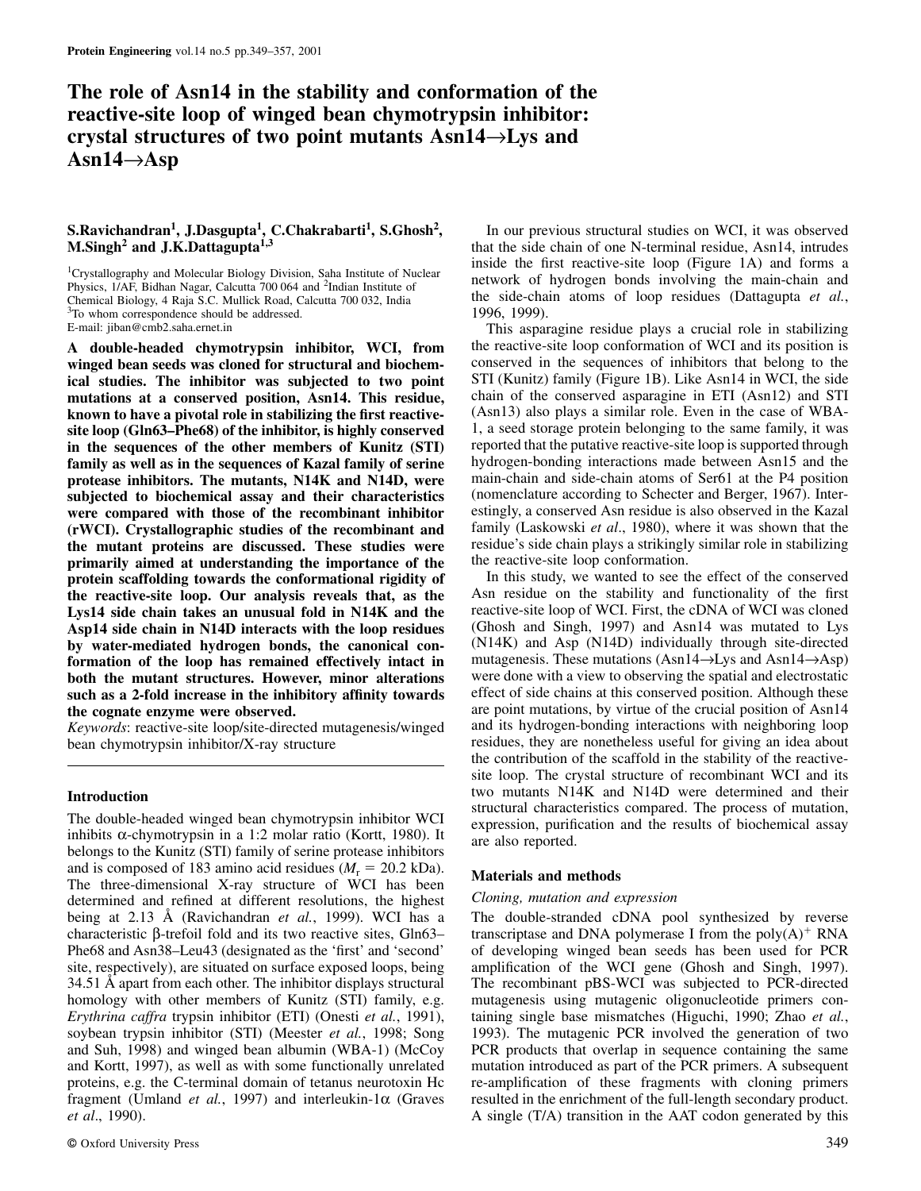## **The role of Asn14 in the stability and conformation of the reactive-site loop of winged bean chymotrypsin inhibitor: crystal structures of two point mutants Asn14**→**Lys and Asn14**→**Asp**

# **S.Ravichandran<sup>1</sup> , J.Dasgupta<sup>1</sup> , C.Chakrabarti<sup>1</sup> , S.Ghosh<sup>2</sup>**

Physics, 1/AF, Bidhan Nagar, Calcutta 700 064 and <sup>2</sup>Indian Institute of <sup>3</sup>To whom correspondence should be addressed.

**winged bean seeds was cloned for structural and biochem-** conserved in the sequences of inhibitors that belong to the conserved in the sequences of inhibitors that belong to the side in WCI, the side in WCI, the side in W **ical studies. The inhibitor was subjected to two point** STI (Kunitz) family (Figure 1B). Like Asn14 in WCI, the side **mutations at a conserved position, Asn14. This residue,** chain of the conserved asparagine in ETI (Asn12) and STI known to have a pivotal role in stabilizing the first reactive**site loop (Gln63–Phe68) of the inhibitor, is highly conserved** 1, a seed storage protein belonging to the same family, it was in the sequences of the other members of Kunitz (STI) reported that the putative reactive-site loop is supported through **family as well as in the sequences of Kazal family of serine** hydrogen-bonding interactions made between Asn15 and the **properties properties hydrogen-bonding** interactions made between Asn15 and the **properties pro protease inhibitors. The mutants, N14K and N14D, were** main-chain and side-chain atoms of Ser61 at the P4 position **subjected to biochemical assay and their characteristics** (nomenclature according to Schecter and Berger, 1967). Inter**were compared with those of the recombinant inhibitor** estingly, a conserved Asn residue is also observed in the Kazal<br>(**rWCD**) Crystallographic studies of the recombinant and family (Laskowski *et al.*, 1980), where it w **(rWCI). Crystallographic studies of the recombinant and** family (Laskowski *et al*., 1980), where it was shown that the **the mutant proteins are discussed. These studies were** residue's side chain plays a strikingly **properties** of the stabilized in the in striking relation. **primarily aimed at understanding the importance of the** the reactive-site loop conformation.<br>**protein scaffolding towards the conformational rigidity of** The this study, we wanted to see the effect of the conserved **protein scaffolding towards the conformational rigidity of** In this study, we wanted to see the effect of the conserved<br>the reactive-site loop. Our analysis reveals that, as the Asn residue on the stability and functional **the reactive-site loop. Our analysis reveals that, as the** Asn residue on the stability and functionality of the first I was cloned I will also reactive-site loop of WCI. First, the cDNA of WCI was cloned Lys14 side chain takes an unusual fold in N14K and the reactive-site loop of WCI. First, the cDNA of WCI was cloned<br>Asn14 side chain in N14D interacts with the loop residues (Ghosh and Singh, 1997) and Asn14 was mutated to **Asp14 side chain in N14D interacts with the loop residues** (Ghosh and Singh, 1997) and Asn14 was mutated to Lys **by water-mediated hydrogen bonds, the canonical con-** (N14K) and Asp (N14D) individually through site-directed **formation** of the loop has remained effectively intact in mutagenesis. These mutations (Asn14–>Lys and Asn14– formation of the loop has remained effectively intact in **both the mutant structures. However, minor alterations** were done with a view to observing the spatial and electrostatic such as a 2-fold increase in the inhibitory affinity towards effect of side chains at this conserved position. Although these

*Keywords*: reactive-site loop/site-directed mutagenesis/winged

inhibits  $\alpha$ -chymotrypsin in a 1:2 molar ratio (Kortt, 1980). It are also reported. belongs to the Kunitz (STI) family of serine protease inhibitors and is composed of 183 amino acid residues  $(M_r = 20.2 \text{ kDa})$ .<br>The three-dimensional X-ray structure of WCI has been **Materials and methods** determined and refined at different resolutions the highest *Cloning mutation and* determined and refined at different resolutions, the highest being at 2.13 Å (Ravichandran *et al.*, 1999). WCI has a The double-stranded cDNA pool synthesized by reverse characteristic β-trefoil fold and its two reactive sites, Gln63– transcriptase and DNA polymerase I from the poly $(A)^+$  RNA Phe68 and Asn38–Leu43 (designated as the 'first' and 'second' of developing winged bean seeds has been used for PCR site, respectively), are situated on surface exposed loops, being amplification of the WCI gene (Ghosh and Singh, 1997). 34.51 Å apart from each other. The inhibitor displays structural The recombinant pBS-WCI was subjected to PCR-directed homology with other members of Kunitz (STI) family, e.g. mutagenesis using mutagenic oligonucleotide primers con-<br>Erythrina caffra trypsin inhibitor (ETI) (Onesti et al., 1991), taining single base mismatches (Higuchi, 199 soybean trypsin inhibitor (STI) (Meester *et al.*, 1998; Song 1993). The mutagenic PCR involved the generation of two and Suh, 1998) and winged bean albumin (WBA-1) (McCoy PCR products that overlap in sequence containing the same and Kortt, 1997), as well as with some functionally unrelated mutation introduced as part of the PCR primers. A subsequent proteins, e.g. the C-terminal domain of tetanus neurotoxin Hc re-amplification of these fragments with cloning primers fragment (Umland *et al.*, 1997) and interleukin-1α (Graves resulted in the enrichment of the full-length secondary product.

In our previous structural studies on WCI, it was observed **M.Singh<sup>2</sup> and J.K.Dattagupta<sup>1,3</sup>** that the side chain of one N-terminal residue, Asn14, intrudes inside the first reactive-site loop (Figure 1A) and forms a <sup>1</sup>Crystallography and Molecular Biology Division, Saha Institute of Nuclear<br>
Physics, 1/AF, Bidhan Nagar, Calcutta 700 064 and <sup>2</sup>Indian Institute of network of hydrogen bonds involving the main-chain and<br>
Chemical Biolog the side-chain atoms of loop residues (Dattagupta *et al.*, 1996, 1999).

E-mail: jiban@cmb2.saha.ernet.in This asparagine residue plays a crucial role in stabilizing **A double-headed chymotrypsin inhibitor, WCI, from** the reactive-site loop conformation of WCI and its position is

**the cognate enzyme were observed.** are point mutations, by virtue of the crucial position of Asn14<br>Keywords: reactive-site loop/site-directed mutagenesis/winged and its hydrogen-bonding interactions with neighboring loop bean chymotrypsin inhibitor/X-ray structure residues, they are nonetheless useful for giving an idea about the contribution of the scaffold in the stability of the reactivesite loop. The crystal structure of recombinant WCI and its Introduction **Introduction** two mutants N14K and N14D were determined and their structural characteristics compared. The process of mutation, The double-headed winged bean chymotrypsin inhibitor WCI expression, purification and the results of biochemical assay

taining single base mismatches (Higuchi, 1990; Zhao *et al.*, *et al.*, 1990). **A** single (T/A) transition in the AAT codon generated by this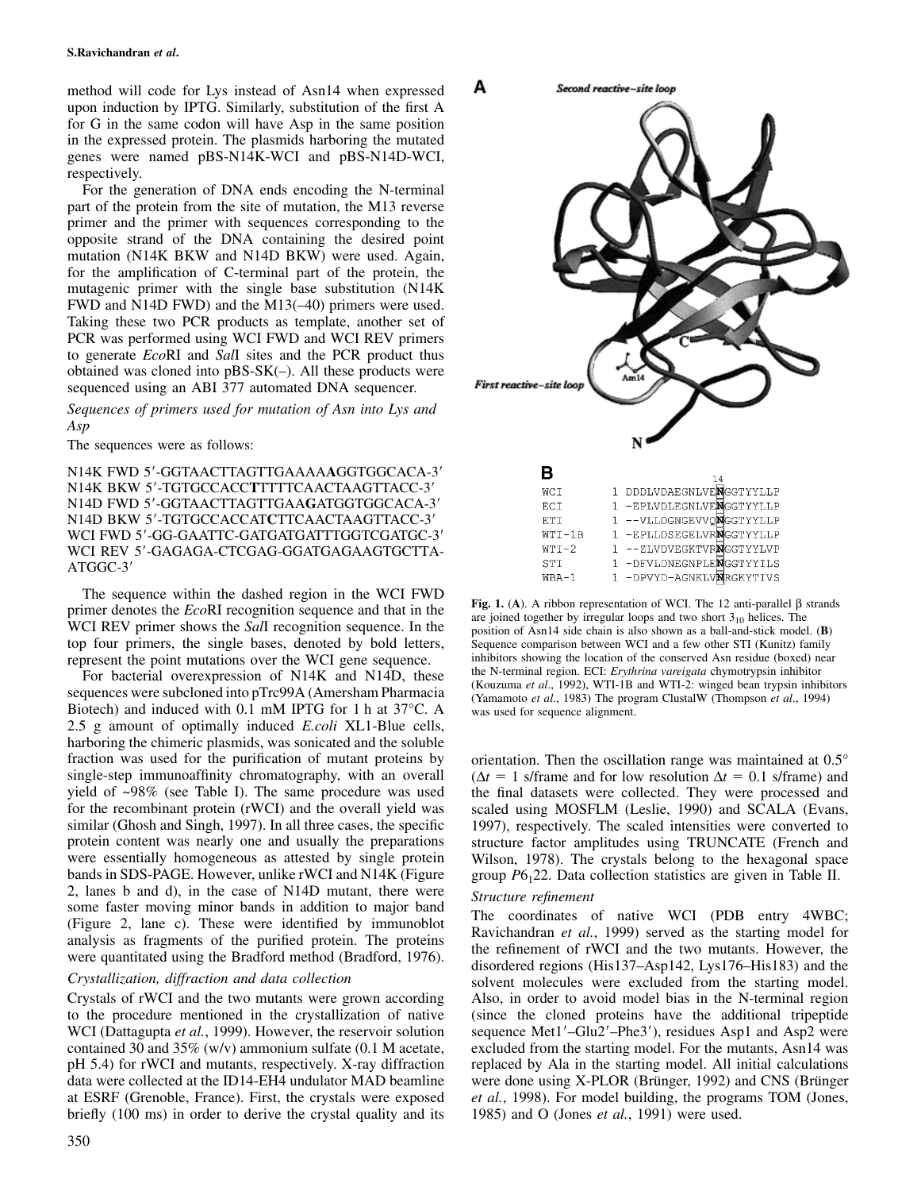method will code for Lys instead of Asn14 when expressed upon induction by IPTG. Similarly, substitution of the first A for G in the same codon will have Asp in the same position in the expressed protein. The plasmids harboring the mutated genes were named pBS-N14K-WCI and pBS-N14D-WCI, respectively.

For the generation of DNA ends encoding the N-terminal part of the protein from the site of mutation, the M13 reverse primer and the primer with sequences corresponding to the opposite strand of the DNA containing the desired point mutation (N14K BKW and N14D BKW) were used. Again, for the amplification of C-terminal part of the protein, the mutagenic primer with the single base substitution (N14K FWD and N14D FWD) and the M13(–40) primers were used. Taking these two PCR products as template, another set of PCR was performed using WCI FWD and WCI REV primers to generate *Eco*RI and *Sal*I sites and the PCR product thus obtained was cloned into  $pBS-SK(-)$ . All these products were sequenced using an ABI 377 automated DNA sequencer.

*Sequences of primers used for mutation of Asn into Lys and Asp*

The sequences were as follows:

N14K FWD 5-GGTAACTTAGTTGAAAA**A**GGTGGCACA-3 N14K BKW 5-TGTGCCACC**T**TTTTCAACTAAGTTACC-3 N14D FWD 5'-GGTAACTTAGTTGAAGATGGTGGCACA-3' N14D BKW 5-TGTGCCACCAT**C**TTCAACTAAGTTACC-3 WCI FWD 5'-GG-GAATTC-GATGATGATTTGGTCGATGC-3' WCI REV 5'-GAGAGA-CTCGAG-GGATGAGAAGTGCTTA-ATGGC-3

The sequence within the dashed region in the WCI FWD Fig. 1. (A). A ribbon representation of WCI. The 12 anti-parallel  $\beta$  strands<br>primer denotes the *EcoRI* recognition sequence and that in the<br>WCI REV primer shows the *SalI* recognition sequence. In the<br>wCI REV primer sh WCI REV primer shows the *Sall* recognition sequence. In the position of Asn14 side chain is also shown as a ball-and-stick model. (**B**) top four primers, the single bases, denoted by bold letters, Sequence comparison betw top four primers, the single bases, denoted by bold letters, Sequence comparison between WCI and a few other STI (Kunitz) family represent the point mutations over the WCI gene sequence.

Biotech) and induced with 0.1 mM IPTG for 1 h at  $37^{\circ}$ C. A was used for sequence alignment. 2.5 g amount of optimally induced *E.coli* XL1-Blue cells, harboring the chimeric plasmids, was sonicated and the soluble fraction was used for the purification of mutant proteins by orientation. Then the oscillation range was maintained at 0.5° bands in SDS-PAGE. However, unlike rWCI and N14K (Figure group *P*6<sub>1</sub>22. Data collection statistics are given in Table II. 2, lanes b and d), in the case of N14D mutant, there were *Structure refinement*

contained 30 and 35% (w/v) ammonium sulfate  $(0.1 \text{ M acetate})$ , briefly (100 ms) in order to derive the crystal quality and its 1985) and O (Jones *et al.*, 1991) were used.



represent the point mutations over the WCI gene sequence. inhibitors showing the location of the conserved Asn residue (boxed) ne<br>Ear hosterial average point of N14K and N14D these the N-terminal region. ECI: Erythrina var For bacterial overexpression of N14K and N14D, these<br>sequences were subcloned into pTrc99A (Amersham Pharmacia<br>(Yamamoto *et al.*, 1992), WTI-1B and WTI-2: winged bean trypsin inhibitors<br>(Yamamoto *et al.*, 1983) The progr

single-step immunoaffinity chromatography, with an overall  $(\Delta t = 1 \text{ s/frame})$  and for low resolution  $\Delta t = 0.1 \text{ s/frame}$ ) and yield of ~98% (see Table I). The same procedure was used the final datasets were collected. They were processed and for the recombinant protein (rWCI) and the overall yield was scaled using MOSFLM (Leslie, 1990) and SCALA (Evans, similar (Ghosh and Singh, 1997). In all three cases, the specific 1997), respectively. The scaled intensities were converted to protein content was nearly one and usually the preparations structure factor amplitudes using protein content was nearly one and usually the preparations structure factor amplitudes using TRUNCATE (French and were essentially homogeneous as attested by single protein Wilson, 1978). The crystals belong to the hexago Wilson, 1978). The crystals belong to the hexagonal space

some faster moving minor bands in addition to major band<br>(Figure 2, lane c). These were identified by immunoblot<br>analysis as fragments of the purified protein. The proteins<br>were quantitated using the Bradford method (Bradf *Crystallization, diffraction and data collection* disordered regions (His137–Asp142, Lys176–His183) and the crystallization, diffraction and data collection Crystals of rWCI and the two mutants were grown according Also, in order to avoid model bias in the N-terminal region to the procedure mentioned in the crystallization of native (since the cloned proteins have the additional tripeptide WCI (Dattagupta *et al.*, 1999). However, the reservoir solution sequence Met1'–Glu2'–Phe3'), residues Asp1 and Asp2 were contained 30 and 35% (w/v) ammonium sulfate (0.1 M acetate, excluded from the starting model. For th pH 5.4) for rWCI and mutants, respectively. X-ray diffraction replaced by Ala in the starting model. All initial calculations data were collected at the ID14-EH4 undulator MAD beamline were done using X-PLOR (Brünger, 1992) and CNS (Brünger at ESRF (Grenoble, France). First, the crystals were exposed *et al.*, 1998). For model building, the programs TOM (Jones,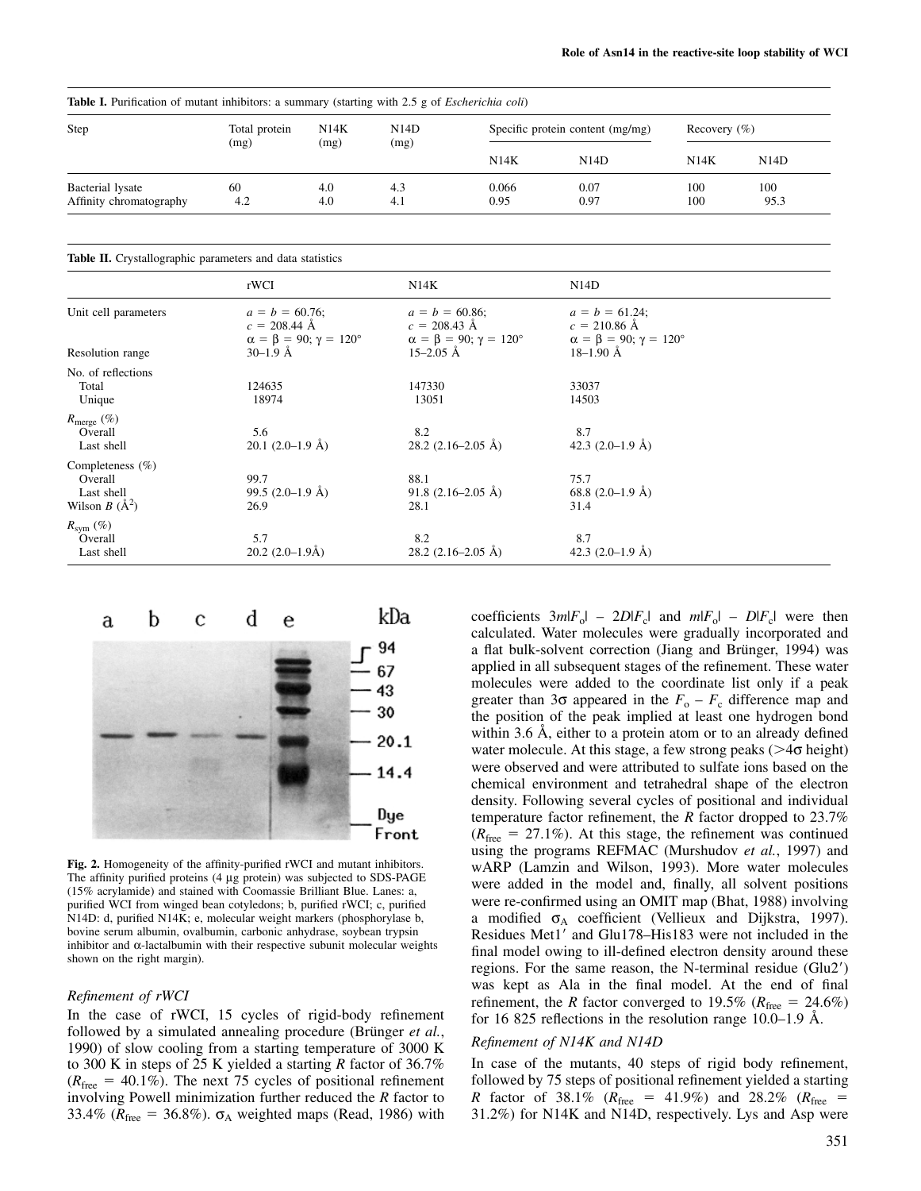| <b>Table I.</b> Purification of mutant inhibitors: a summary (starting with 2.5 g of <i>Escherichia coli</i> ) |                       |              |              |                                  |      |                  |                   |
|----------------------------------------------------------------------------------------------------------------|-----------------------|--------------|--------------|----------------------------------|------|------------------|-------------------|
| Step                                                                                                           | Total protein<br>(mg) | N14K<br>(mg) | N14D<br>(mg) | Specific protein content (mg/mg) |      | Recovery $(\% )$ |                   |
|                                                                                                                |                       |              |              | N14K                             | N14D | N14K             | N <sub>14</sub> D |
| Bacterial lysate                                                                                               | 60                    | 4.0          | 4.3          | 0.066                            | 0.07 | 100              | 100               |
| Affinity chromatography                                                                                        | 4.2                   | 4.0          | 4.1          | 0.95                             | 0.97 | 100              | 95.3              |

**Table II.** Crystallographic parameters and data statistics

|                          | rWCI                                                                                       | N14K                                                                                       | N14D                                                                               |  |
|--------------------------|--------------------------------------------------------------------------------------------|--------------------------------------------------------------------------------------------|------------------------------------------------------------------------------------|--|
| Unit cell parameters     | $a = b = 60.76$ ;<br>$c = 208.44 \text{ Å}$<br>$\alpha = \beta = 90; \gamma = 120^{\circ}$ | $a = b = 60.86$ ;<br>$c = 208.43 \text{ Å}$<br>$\alpha = \beta = 90; \gamma = 120^{\circ}$ | $a = b = 61.24$ ;<br>$c = 210.86$ Å<br>$\alpha = \beta = 90; \gamma = 120^{\circ}$ |  |
| Resolution range         | $30-1.9$ Å                                                                                 | $15-2.05$ Å                                                                                | $18-1.90$ Å                                                                        |  |
| No. of reflections       |                                                                                            |                                                                                            |                                                                                    |  |
| Total                    | 124635                                                                                     | 147330                                                                                     | 33037                                                                              |  |
| Unique                   | 18974                                                                                      | 13051                                                                                      | 14503                                                                              |  |
| $R_{\text{merge}}\ (\%)$ |                                                                                            |                                                                                            |                                                                                    |  |
| Overall                  | 5.6                                                                                        | 8.2                                                                                        | 8.7                                                                                |  |
| Last shell               | $20.1$ (2.0–1.9 Å)                                                                         | 28.2 $(2.16-2.05 \text{ Å})$                                                               | 42.3 $(2.0-1.9 \text{ Å})$                                                         |  |
| Completeness $(\% )$     |                                                                                            |                                                                                            |                                                                                    |  |
| Overall                  | 99.7                                                                                       | 88.1                                                                                       | 75.7                                                                               |  |
| Last shell               | 99.5 $(2.0-1.9 \text{ Å})$                                                                 | 91.8 $(2.16-2.05 \text{ Å})$                                                               | 68.8 $(2.0-1.9 \text{ Å})$                                                         |  |
| Wilson $B(A^2)$          | 26.9                                                                                       | 28.1                                                                                       | 31.4                                                                               |  |
| $R_{sym}$ (%)            |                                                                                            |                                                                                            |                                                                                    |  |
| Overall                  | 5.7                                                                                        | 8.2                                                                                        | 8.7                                                                                |  |
| Last shell               | $20.2 (2.0 - 1.9Å)$                                                                        | $28.2$ (2.16–2.05 Å)                                                                       | 42.3 $(2.0-1.9 \text{ Å})$                                                         |  |



followed by a simulated annealing procedure (Brünger *et al.*, 1990) of slow cooling from a starting temperature of 3000 K Refinement of N14K and N14D to 300 K in steps of 25 K yielded a starting *R* factor of 36.7% In case of the mutants, 40 steps of rigid body refinement,  $(R<sub>free</sub> = 40.1%)$ . The next 75 cycles of positional refinement followed by 75 steps of positional refinement yielded a starting involving Powell minimization further reduced the R factor to R factor of 38.1% ( $R<sub>free</sub> = 4$ 33.4% ( $R_{\text{free}} = 36.8\%$ ).  $\sigma_A$  weighted maps (Read, 1986) with

coefficients  $3m|F_0| - 2D|F_c|$  and  $m|F_0| - D|F_c|$  were then calculated. Water molecules were gradually incorporated and a flat bulk-solvent correction (Jiang and Brünger, 1994) was applied in all subsequent stages of the refinement. These water molecules were added to the coordinate list only if a peak greater than 3 $\sigma$  appeared in the  $F_o - F_c$  difference map and the position of the peak implied at least one hydrogen bond within 3.6 Å, either to a protein atom or to an already defined water molecule. At this stage, a few strong peaks ( $>4\sigma$  height) were observed and were attributed to sulfate ions based on the chemical environment and tetrahedral shape of the electron density. Following several cycles of positional and individual temperature factor refinement, the *R* factor dropped to 23.7%  $(R_{\text{free}} = 27.1\%)$ . At this stage, the refinement was continued using the programs REFMAC (Murshudov *et al.*, 1997) and **Fig. 2.** Homogeneity of the affinity-purified rWCI and mutant inhibitors.<br>The affinity purified proteins (4 µg protein) was subjected to SDS-PAGE www.codded in the model and finally all solvent positions The affinity purified proteins (4 µg protein) was subjected to SDS-PAGE were added in the model and, finally, all solvent positions (15% acrylamide) and stained with Coomassie Brilliant Blue. Lanes: a,<br>purified WCI from wi were re-confirmed using an OMIT map (Bhat, 1988) involving N14D: d, purified N14K; e, molecular weight markers (phosphorylase b, a modified  $\sigma_A$  coefficient (Vellieux and Dijkstra, 1997).<br>bovine serum albumin, ovalbumin, carbonic anhydrase, soybean trypsin Residues Met1' and Glu bovine serum albumin, ovalbumin, carbonic anhydrase, soybean trypsin Residues Met1' and Glu178–His183 were not included in the inhibitor and α-lactalbumin with their respective subunit molecular weights fined and analyze nhibitor and α-lactalbumin with their respective subunit molecular weights final model owing to ill-defined electron density around these shown on the right margin). regions. For the same reason, the N-terminal residue (Glu2) was kept as Ala in the final model. At the end of final *Refinement of rWCI*<br> *Refinement* of rWCI, 15 cycles of rigid-body refinement<br> *R* factor converged to 19.5% (*R*<sub>free</sub> = 24.6%)<br> *R* the *R* factor converged to 19.5% (*R*<sub>free</sub> = 24.6%) for 16 825 reflections in the resolution range 10.0–1.9 Å.

*R* factor of 38.1% ( $R_{\text{free}} = 41.9\%$ ) and 28.2% ( $R_{\text{free}} = 31.2\%$ ) for N14K and N14D, respectively. Lys and Asp were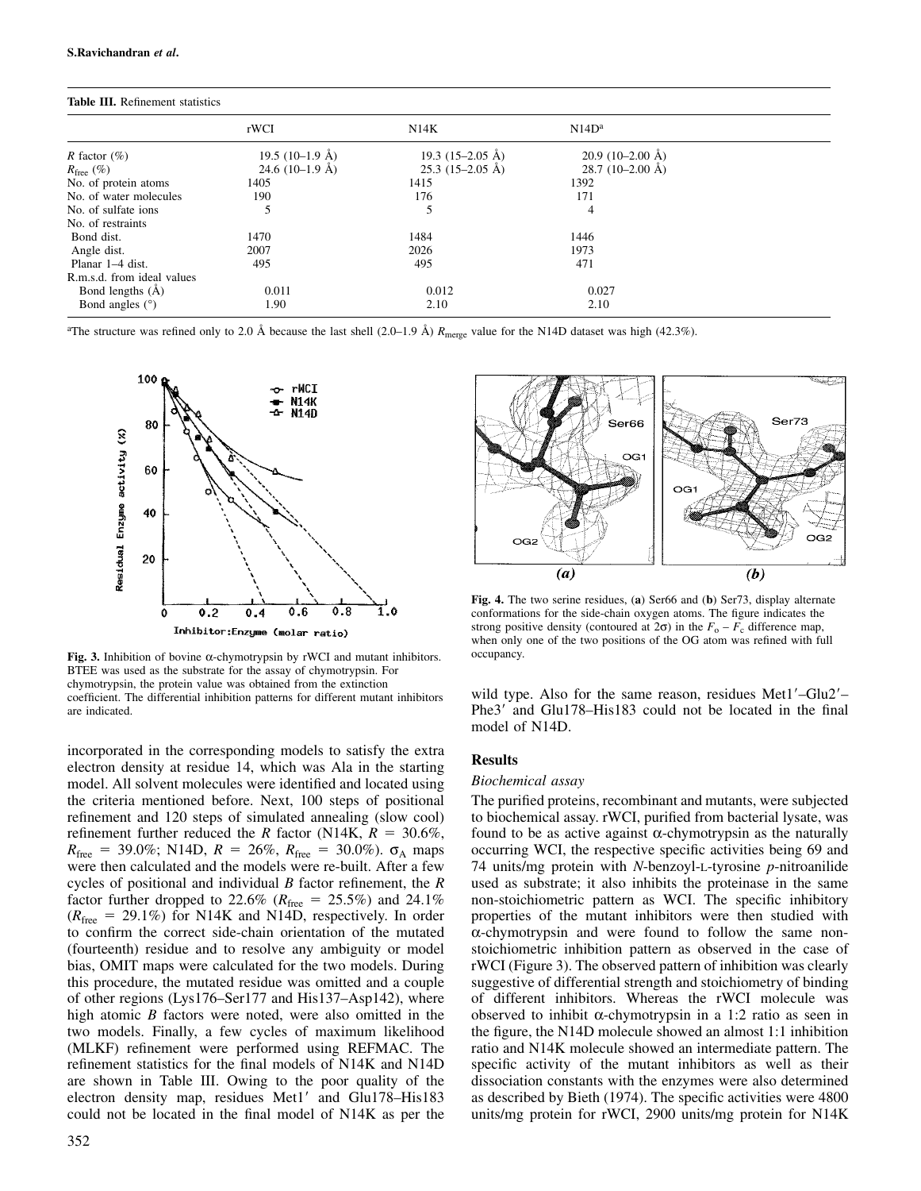| <b>Table III.</b> Remement statistics |                           |                            |                            |  |
|---------------------------------------|---------------------------|----------------------------|----------------------------|--|
|                                       | rWCI                      | N14K                       | N14D <sup>a</sup>          |  |
| <i>R</i> factor $(\%)$                | 19.5 $(10-1.9 \text{ Å})$ | 19.3 $(15-2.05 \text{ Å})$ | $20.9(10-2.00~\text{\AA})$ |  |
| $R_{\text{free}}(\%)$                 | 24.6 $(10-1.9 \text{ Å})$ | $25.3(15-2.05 \text{ Å})$  | 28.7 $(10-2.00 \text{ Å})$ |  |
| No. of protein atoms                  | 1405                      | 1415                       | 1392                       |  |
| No. of water molecules                | 190                       | 176                        | 171                        |  |
| No. of sulfate ions                   |                           |                            | 4                          |  |
| No. of restraints                     |                           |                            |                            |  |
| Bond dist.                            | 1470                      | 1484                       | 1446                       |  |
| Angle dist.                           | 2007                      | 2026                       | 1973                       |  |
| Planar 1–4 dist.                      | 495                       | 495                        | 471                        |  |
| R.m.s.d. from ideal values            |                           |                            |                            |  |
| Bond lengths $(\check{A})$            | 0.011                     | 0.012                      | 0.027                      |  |
| Bond angles $(°)$                     | 1.90                      | 2.10                       | 2.10                       |  |

## **Table III.** Refinement statistics

<sup>a</sup>The structure was refined only to 2.0 Å because the last shell  $(2.0-1.9 \text{ Å}) R_{\text{merge}}$  value for the N14D dataset was high (42.3%).



Fig. 3. Inhibition of bovine α-chymotrypsin by rWCI and mutant inhibitors. occupancy. BTEE was used as the substrate for the assay of chymotrypsin. For chymotrypsin, the protein value was obtained from the extinction coefficient. The differential inhibition patterns for different mutant inhibitors wild type. Also for the same reason, residues Met1–Glu2–

incorporated in the corresponding models to satisfy the extra<br>
electron density at residue 14, which was Ala in the starting<br>
model. All solvent molecules were identified and located using<br>
Biochemical assay model. All solvent molecules were identified and located using the criteria mentioned before. Next, 100 steps of positional The purified proteins, recombinant and mutants, were subjected refinement and 120 steps of simulated annealing (slow cool) to biochemical assay. rWCI, purified from bacterial lysate, was refinement further reduced the *R* factor (N14K,  $R = 30.6\%$ , found to be as active against  $\alpha$ -chymotrypsin as the naturally  $R_{\text{free}} = 39.0\%$ ; N14D,  $R = 26\%$ ,  $R_{\text{free}} = 30.0\%$ ).  $\sigma_A$  maps occurring WCI, the respective specific activities being 69 and were then calculated and the models were re-built. After a few 74 units/mg protein with *N* were then calculated and the models were re-built. After a few cycles of positional and individual *B* factor refinement, the *R* used as substrate; it also inhibits the proteinase in the same factor further dropped to 22.6% ( $R_{\text{free}} = 25.5\%$ ) and 24.1% non-stoichiometric pattern as WCI. The specific inhibitory  $(R_{\text{free}} = 29.1\%)$  for N14K and N14D, respectively. In order properties of the mutant inhibitors were then studied with to confirm the correct side-chain orientation of the mutated  $\alpha$ -chymotrypsin and were found to follo to confirm the correct side-chain orientation of the mutated (fourteenth) residue and to resolve any ambiguity or model stoichiometric inhibition pattern as observed in the case of bias, OMIT maps were calculated for the two models. During rWCI (Figure 3). The observed pattern of inhibition was clearly this procedure, the mutated residue was omitted and a couple suggestive of differential strength and stoichiometry of binding of other regions (Lys176–Ser177 and His137–Asp142), where of different inhibitors. Whereas the rWCI molecule was high atomic *B* factors were noted, were also omitted in the observed to inhibit α-chymotrypsin in a 1:2 ratio as seen in two models. Finally, a few cycles of maximum likelihood the figure, the N14D molecule showed an almost 1:1 inhibition (MLKF) refinement were performed using REFMAC. The ratio and N14K molecule showed an intermediate pattern. The refinement statistics for the final models of N14K and N14D specific activity of the mutant inhibitors as well as their are shown in Table III. Owing to the poor quality of the dissociation constants with the enzymes were also determined electron density map, residues Met1' and Glu178–His183 as described by Bieth (1974). The specific activities were 4800 could not be located in the final model of N14K as per the units/mg protein for rWCI, 2900 units/mg protein for N14K



**Fig. 4.** The two serine residues, (**a**) Ser66 and (**b**) Ser73, display alternate conformations for the side-chain oxygen atoms. The figure indicates the strong positive density (contoured at  $2\sigma$ ) in the  $F_o - F_c$  difference map, when only one of the two positions of the OG atom was refined with full

are indicated. The 3' and Glu178–His183 could not be located in the final model of N14D.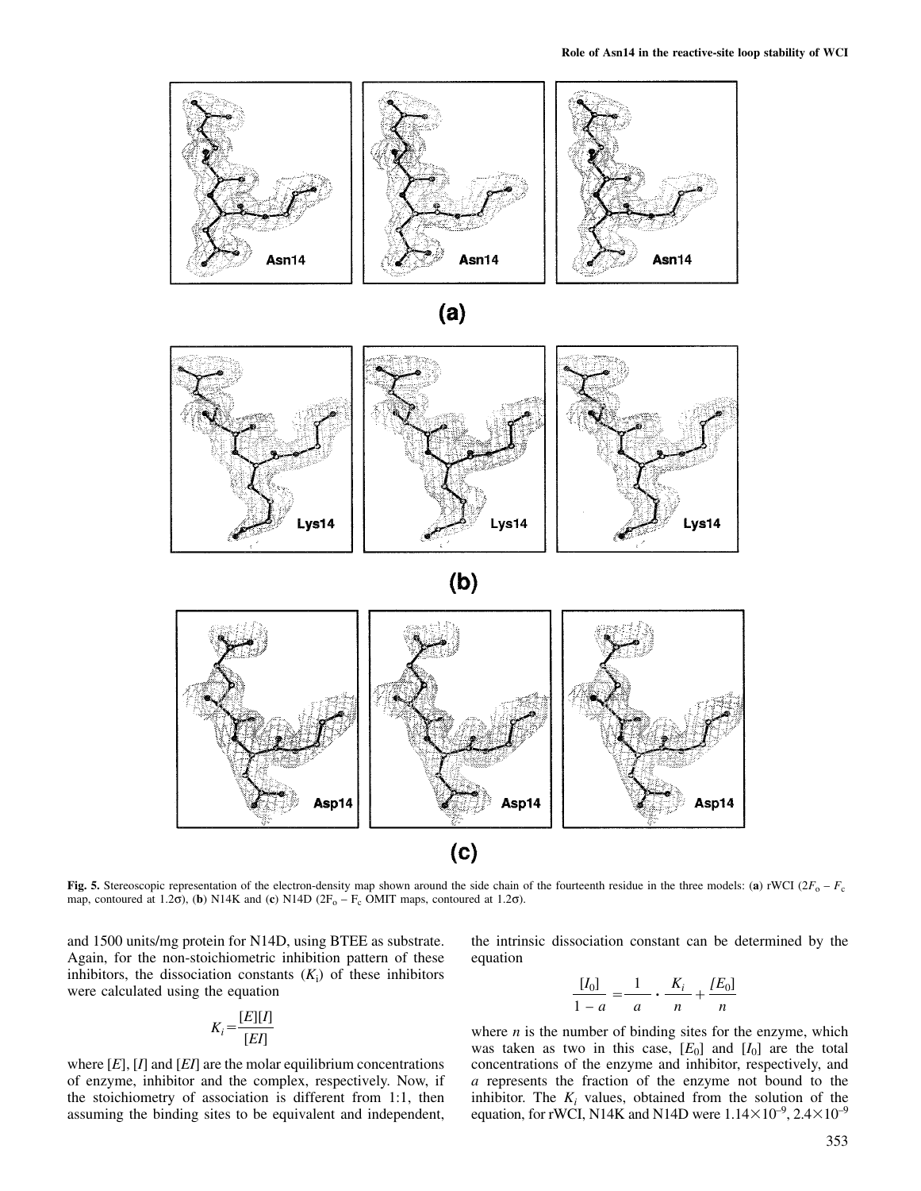

$$
(a)
$$



**Fig. 5.** Stereoscopic representation of the electron-density map shown around the side chain of the fourteenth residue in the three models: (a) rWCI ( $2F_0 - F_c$ map, contoured at 1.2 $\sigma$ ), (**b**) N14K and (**c**) N14D (2F<sub>o</sub> – F<sub>c</sub> OMIT maps, contoured at 1.2 $\sigma$ ).

and 1500 units/mg protein for N14D, using BTEE as substrate. the intrinsic dissociation constant can be determined by the Again, for the non-stoichiometric inhibition pattern of these equation inhibitors, the dissociation constants  $(K_i)$  of these inhibitors  $[I_0]$ <br>were calculated using the equation were calculated using the equation

$$
K_i = \frac{[E][I]}{[EI]}
$$

$$
\frac{[I_0]}{1-a} = \frac{1}{a} \cdot \frac{K_i}{n} + \frac{[E_0]}{n}
$$

where *n* is the number of binding sites for the enzyme, which was taken as two in this case,  $[E_0]$  and  $[I_0]$  are the total where  $[E]$ ,  $[I]$  and  $[E]$  are the molar equilibrium concentrations concentrations of the enzyme and inhibitor, respectively, and of enzyme, inhibitor and the complex, respectively. Now, if *a* represents the fraction of t a represents the fraction of the enzyme not bound to the the stoichiometry of association is different from 1:1, then inhibitor. The  $K_i$  values, obtained from the solution of the assuming the binding sites to be equivalent and independent, equation, for rWCI, N14K and N14D wer equation, for rWCI, N14K and N14D were  $1.14\times10^{-9}$ ,  $2.4\times10^{-9}$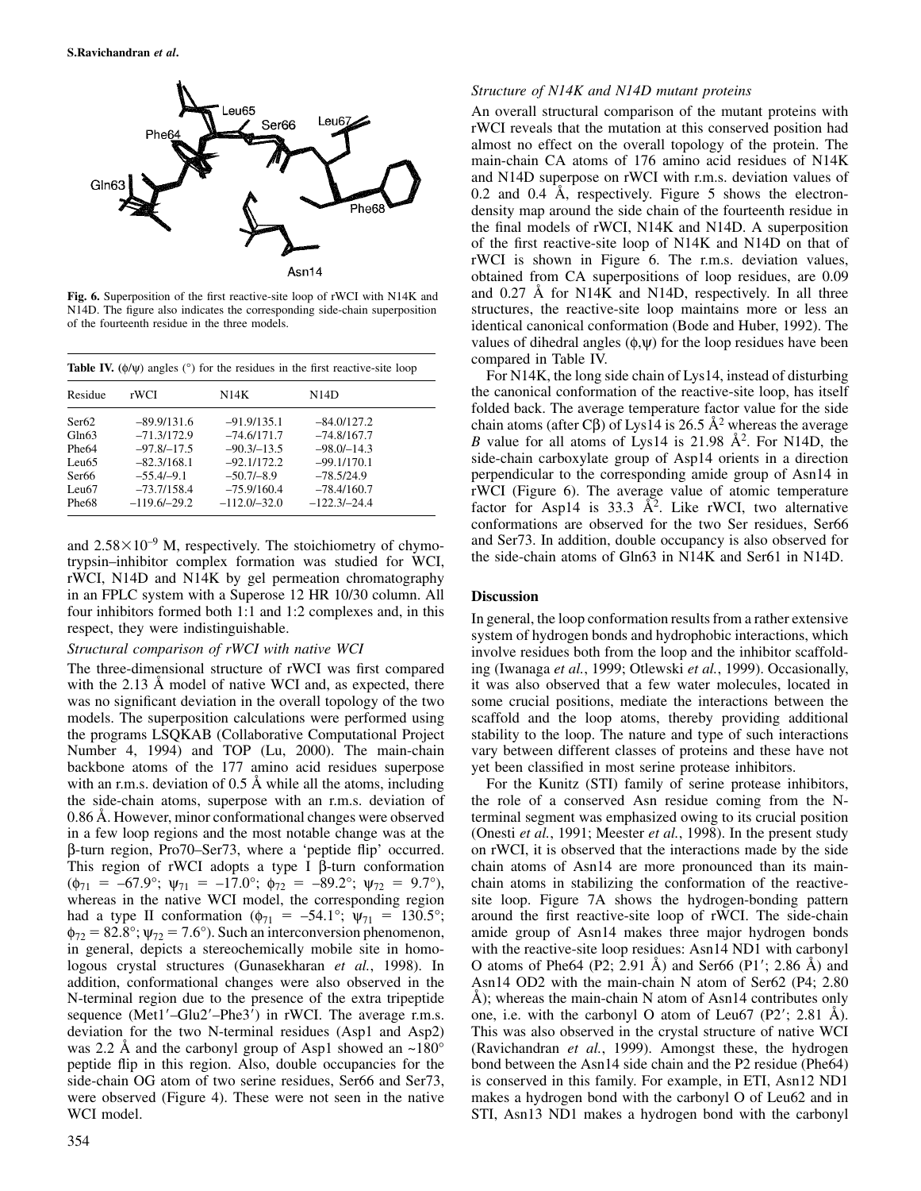

| N14D          |
|---------------|
|               |
| $-84.0/127.2$ |
| $-74.8/167.7$ |
| $-98.0/-14.3$ |
| $-99.1/170.1$ |
| $-78.5/24.9$  |
| $-78.4/160.7$ |
|               |
|               |

trypsin–inhibitor complex formation was studied for WCI, rWCI, N14D and N14K by gel permeation chromatography in an FPLC system with a Superose 12 HR 10/30 column. All **Discussion** four inhibitors formed both 1:1 and 1:2 complexes and, in this

with the 2.13 Å model of native WCI and, as expected, there it was also observed that a few water molecules, located in was no significant deviation in the overall topology of the two some crucial positions, mediate the interactions between the models. The superposition calculations were performed using scaffold and the loop atoms, thereby providing additional the programs LSQKAB (Collaborative Computational Project stability to the loop. The nature and type of such interactions Number 4, 1994) and TOP (Lu, 2000). The main-chain vary between different classes of proteins and these have not backbone atoms of the 177 amino acid residues superpose yet been classified in most serine protease inhibitors. with an r.m.s. deviation of 0.5 Å while all the atoms, including For the Kunitz (STI) family of serine protease inhibitors, the side-chain atoms, superpose with an r.m.s. deviation of the role of a conserved Asn residue coming from the N-0.86 Å. However, minor conformational changes were observed terminal segment was emphasized owing to its crucial position in a few loop regions and the most notable change was at the (Onesti *et al.*, 1991; Meester *et al.*, 1998). In the present study β-turn region, Pro70–Ser73, where a 'peptide flip' occurred. on rWCI, it is observed that the interactions made by the side This region of rWCI adopts a type I β-turn conformation chain atoms of Asn14 are more pronounced than its main- ( $\phi_{71} = -67.9^{\circ}$ ;  $\psi_{71} = -17.0^{\circ}$ ;  $\phi_{72} = -89.2^{\circ}$ ;  $\psi_{72} = 9.7^{\circ}$ ), chain atoms in stabilizing the conformation of the reactive-<br>whereas in the native WCI model, the corresponding region site loop. Figure 7A had a type II conformation ( $\phi_{71} = -54.1^{\circ}$ ;  $\psi_{71} = 130.5^{\circ}$ ; around the first reactive-site loop of rWCI. The side-chain  $\phi_{72} = 82.8^{\circ}$ ;  $\psi_{72} = 7.6^{\circ}$ ). Such an interconversion phenomenon, amide group of A  $\phi_{72} = 82.8^\circ$ ;  $\psi_{72} = 7.6^\circ$ ). Such an interconversion phenomenon, amide group of Asn14 makes three major hydrogen bonds in general, depicts a stereochemically mobile site in homo-<br>with the reactive-site loop residue in general, depicts a stereochemically mobile site in homologous crystal structures (Gunasekharan *et al.*, 1998). In O atoms of Phe64 (P2; 2.91 Å) and Ser66 (P1; 2.86 Å) and addition, conformational changes were also observed in the Asn14 OD2 with the main-chain N atom of Ser62 (P4; 2.80 N-terminal region due to the presence of the extra tripeptide Å); whereas the main-chain N atom of Asn14 contributes only sequence (Met1'–Glu2'–Phe3') in rWCI. The average r.m.s. one, i.e. with the carbonyl O atom of Leu67 (P2'; 2.81 Å). deviation for the two N-terminal residues (Asp1 and Asp2) This was also observed in the crystal structure of native WCI was 2.2 Å and the carbonyl group of Asp1 showed an ~180° (Ravichandran *et al.*, 1999). Amongst these, the hydrogen peptide flip in this region. Also, double occupancies for the bond between the Asn14 side chain and the P2 residue (Phe64) side-chain OG atom of two serine residues, Ser66 and Ser73, is conserved in this family. For example, in ETI, Asn12 ND1 were observed (Figure 4). These were not seen in the native makes a hydrogen bond with the carbonyl O of Leu62 and in WCI model. STI, Asn13 ND1 makes a hydrogen bond with the carbonyl

## *Structure of N14K and N14D mutant proteins*

An overall structural comparison of the mutant proteins with rWCI reveals that the mutation at this conserved position had almost no effect on the overall topology of the protein. The main-chain CA atoms of 176 amino acid residues of N14K and N14D superpose on rWCI with r.m.s. deviation values of 0.2 and 0.4 Å, respectively. Figure 5 shows the electrondensity map around the side chain of the fourteenth residue in the final models of rWCI, N14K and N14D. A superposition of the first reactive-site loop of N14K and N14D on that of rWCI is shown in Figure 6. The r.m.s. deviation values, obtained from CA superpositions of loop residues, are 0.09 **Fig. 6.** Superposition of the first reactive-site loop of rWCI with N14K and and 0.27 Å for N14K and N14D, respectively. In all three N14D. The figure also indicates the corresponding side-chain superposition structures, structures, the reactive-site loop maintains more or less an of the fourteenth residue in the three models. identical canonical conformation (Bode and Huber, 1992). The values of dihedral angles  $(\phi, \psi)$  for the loop residues have been compared in Table IV.<br>For N14K, the long side chain of Lys14, instead of disturbing

the canonical conformation of the reactive-site loop, has itself folded back. The average temperature factor value for the side chain atoms (after Cβ) of Lys14 is 26.5 Å<sup>2</sup> whereas the average B value for all atoms of Lys14 is 21.98  $\AA^2$ . For N14D, the side-chain carboxylate group of Asp14 orients in a direction perpendicular to the corresponding amide group of Asn14 in rWCI (Figure 6). The average value of atomic temperature Phe68 –119.6/–29.2 –112.0/–32.0 –122.3/–24.4 factor for Asp14 is 33.3 Å<sup>2</sup>. Like rWCI, two alternative conformations are observed for the two Ser residues, Ser66 and  $2.58 \times 10^{-9}$  M, respectively. The stoichiometry of chymo-<br>trynsin-inhibitor complex formation was studied for WCI the side-chain atoms of Gln63 in N14K and Ser61 in N14D.

For the minimum contractions of the textensive spect, they were indistinguishable.<br>
Structural comparison of rWCI with native WCI structural comparison of rWCI with native WCI structural comparison of rWCI structural compa involve residues both from the loop and the inhibitor scaffold-The three-dimensional structure of rWCI was first compared ing (Iwanaga *et al.*, 1999; Otlewski *et al.*, 1999). Occasionally,

site loop. Figure 7A shows the hydrogen-bonding pattern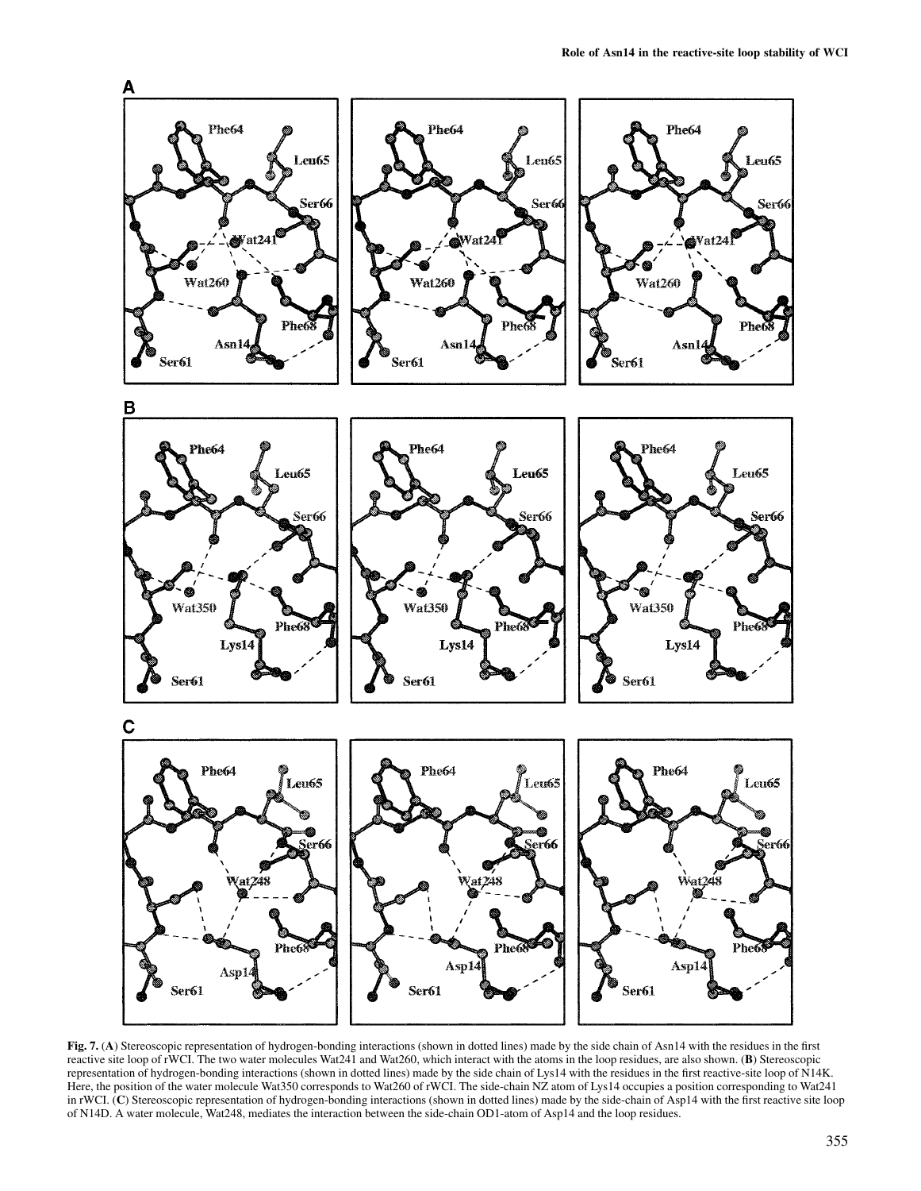

**Fig. 7.** (**A**) Stereoscopic representation of hydrogen-bonding interactions (shown in dotted lines) made by the side chain of Asn14 with the residues in the first reactive site loop of rWCI. The two water molecules Wat241 and Wat260, which interact with the atoms in the loop residues, are also shown. (**B**) Stereoscopic representation of hydrogen-bonding interactions (shown in dotted lines) made by the side chain of Lys14 with the residues in the first reactive-site loop of N14K. Here, the position of the water molecule Wat350 corresponds to Wat260 of rWCI. The side-chain NZ atom of Lys14 occupies a position corresponding to Wat241 in rWCI. (**C**) Stereoscopic representation of hydrogen-bonding interactions (shown in dotted lines) made by the side-chain of Asp14 with the first reactive site loop of N14D. A water molecule, Wat248, mediates the interaction between the side-chain OD1-atom of Asp14 and the loop residues.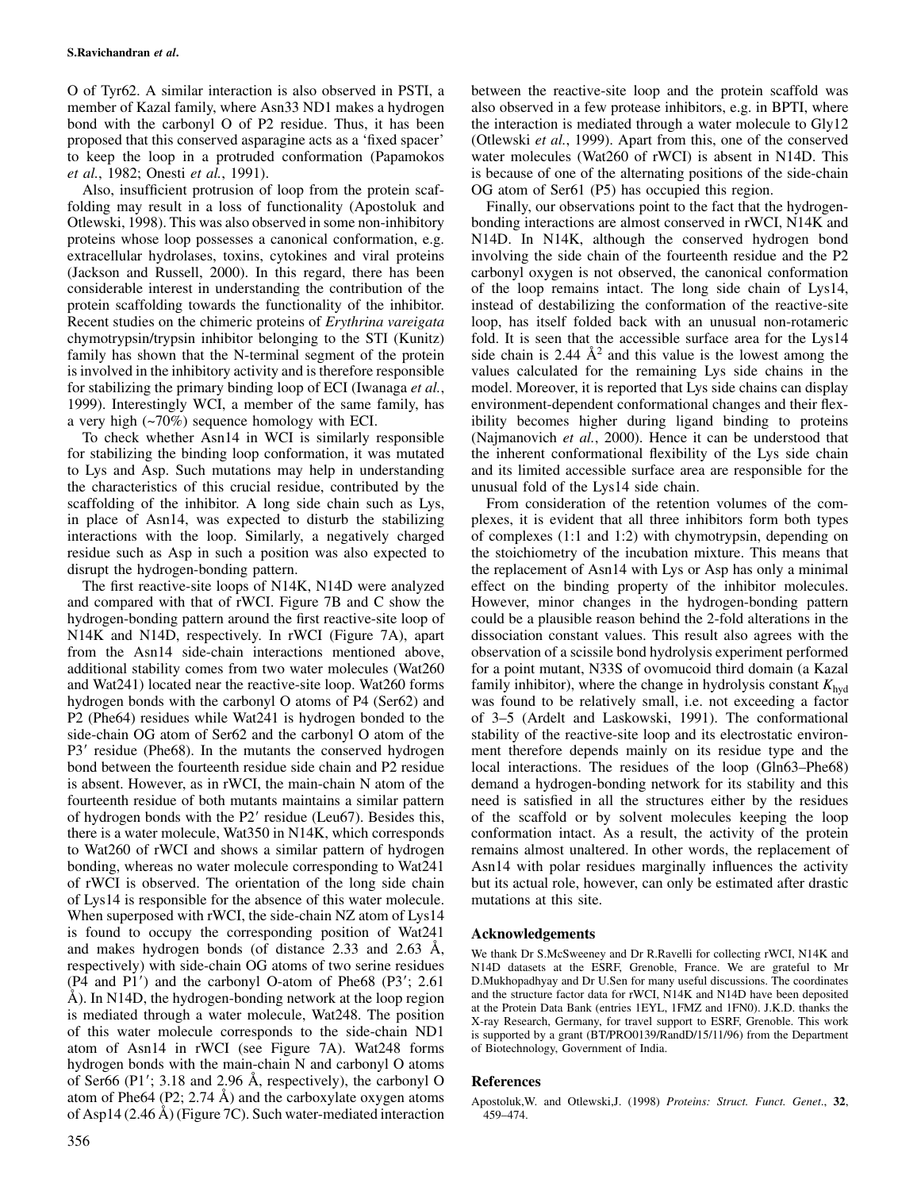O of Tyr62. A similar interaction is also observed in PSTI, a between the reactive-site loop and the protein scaffold was member of Kazal family, where Asn33 ND1 makes a hydrogen also observed in a few protease inhibitors, e.g. in BPTI, where bond with the carbonyl O of P2 residue. Thus, it has been the interaction is mediated through a water molecule to Gly12 proposed that this conserved asparagine acts as a 'fixed spacer' (Otlewski *et al.*, 1999). Apart from this, one of the conserved to keep the loop in a protruded conformation (Papamokos water molecules (Wat260 of rWCI) is absent in N14D. This *et al.*, 1982; Onesti *et al.*, 1991). is because of one of the alternating positions of the side-chain

Also, insufficient protrusion of loop from the protein scaf- OG atom of Ser61 (P5) has occupied this region. folding may result in a loss of functionality (Apostoluk and Finally, our observations point to the fact that the hydrogen-Otlewski, 1998). This was also observed in some non-inhibitory bonding interactions are almost conserved in rWCI, N14K and proteins whose loop possesses a canonical conformation, e.g. N14D. In N14K, although the conserved hydrogen bond extracellular hydrolases, toxins, cytokines and viral proteins involving the side chain of the fourteenth residue and the P2 (Jackson and Russell, 2000). In this regard, there has been carbonyl oxygen is not observed, the canonical conformation considerable interest in understanding the contribution of the of the loop remains intact. The long side chain of Lys14, protein scaffolding towards the functionality of the inhibitor. instead of destabilizing the conformation of the reactive-site Recent studies on the chimeric proteins of *Erythrina vareigata* loop, has itself folded back with an unusual non-rotameric chymotrypsin/trypsin inhibitor belonging to the STI (Kunitz) fold. It is seen that the accessible surface area for the Lys14 family has shown that the N-terminal segment of the protein is involved in the inhibitory activity and is therefore responsible values calculated for the remaining Lys side chains in the for stabilizing the primary binding loop of ECI (Iwanaga *et al.*, model. Moreover, it is reported that Lys side chains can display 1999). Interestingly WCI, a member of the same family, has environment-dependent conformational changes and their flexa very high (~70%) sequence homology with ECI. ibility becomes higher during ligand binding to proteins

for stabilizing the binding loop conformation, it was mutated the inherent conformational flexibility of the Lys side chain to Lys and Asp. Such mutations may help in understanding and its limited accessible surface area are responsible for the the characteristics of this crucial residue, contributed by the unusual fold of the Lys14 side chain. scaffolding of the inhibitor. A long side chain such as Lys, From consideration of the retention volumes of the comin place of Asn14, was expected to disturb the stabilizing plexes, it is evident that all three inhibitors form both types interactions with the loop. Similarly, a negatively charged of complexes (1:1 and 1:2) with chymotrypsin, depending on residue such as Asp in such a position was also expected to the stoichiometry of the incubation mixture. This means that disrupt the hydrogen-bonding pattern. the replacement of Asn14 with Lys or Asp has only a minimal

and compared with that of rWCI. Figure 7B and C show the However, minor changes in the hydrogen-bonding pattern hydrogen-bonding pattern around the first reactive-site loop of could be a plausible reason behind the 2-fold alterations in the N14K and N14D, respectively. In rWCI (Figure 7A), apart dissociation constant values. This result also agrees with the from the Asn14 side-chain interactions mentioned above, observation of a scissile bond hydrolysis exper additional stability comes from two water molecules (Wat260 for a point mutant, N33S of ovomucoid third domain (a Kazal and Wat241) located near the reactive-site loop. Wat260 forms family inhibitor), where the change in hydrolysis constant  $K_{\text{hyd}}$ hydrogen bonds with the carbonyl O atoms of P4 (Ser62) and was found to be relatively small, i.e. not exceeding a factor P2 (Phe64) residues while Wat241 is hydrogen bonded to the of 3–5 (Ardelt and Laskowski, 1991). The conformational side-chain OG atom of Ser62 and the carbonyl O atom of the stability of the reactive-site loop and its electrostatic environ-P3 residue (Phe68). In the mutants the conserved hydrogen ment therefore depends mainly on its residue type and the bond between the fourteenth residue side chain and P2 residue local interactions. The residues of the loop (Gln63–Phe68) is absent. However, as in rWCI, the main-chain N atom of the demand a hydrogen-bonding network for its stability and this fourteenth residue of both mutants maintains a similar pattern need is satisfied in all the structures either by the residues of hydrogen bonds with the P2 residue (Leu67). Besides this, of the scaffold or by solvent molecules keeping the loop there is a water molecule, Wat350 in N14K, which corresponds conformation intact. As a result, the activity of the protein to Wat260 of rWCI and shows a similar pattern of hydrogen remains almost unaltered. In other words, the replacement of bonding, whereas no water molecule corresponding to Wat241 Asn14 with polar residues marginally influences the activity of rWCI is observed. The orientation of the long side chain but its actual role, however, can only be estimated after drastic of Lys14 is responsible for the absence of this water molecule. mutations at this site. When superposed with rWCI, the side-chain NZ atom of Lys14 is found to occupy the corresponding position of Wat241 **Acknowledgements** and makes hydrogen bonds (of distance 2.33 and 2.63 Å, We thank Dr S.McSweeney and Dr R.Ravelli for collecting rWCI, N14K and respectively) with side-chain OG atoms of two serine residues N14D datasets at the ESRF, Grenoble, France. We are grateful to Mr (P4 and P1') and the carbonyl O-atom of Phe68 (P3'; 2.61 D.Mukhopadhyay and Dr U.Sen for many useful discussions. The coordinates  $\AA$ ) In N14D the hydrogen-honding network at the loop region and the structure factor data Å). In N14D, the hydrogen-bonding network at the loop region and the structure factor data for rWCI, N14K and N14D have been deposited in the structure factor data for rWCI, N14K and N14D have been deposited in the structu is mediated through a water molecule, Wat248. The position X-ray Research, Germany, for travel support to ESRF, Grenoble. This work of this water molecule corresponds to the side-chain ND1 is supported by a grant (BT/PRO0139/RandD/15/11/96) from the Department atom of Asn14 in rWCI (see Figure 7A). Wat248 forms of Biotechnology, Government of India. hydrogen bonds with the main-chain N and carbonyl O atoms of Ser66 (P1; 3.18 and 2.96 Å, respectively), the carbonyl O **References** atom of Phe64 (P2; 2.74 Å) and the carboxylate oxygen atoms Apostoluk,W. and Otlewski,J. (1998) *Proteins: Struct. Funct. Genet.*, 32, of Asp14 (2.46 Å) (Figure 7C). Such water-mediated interaction 459–474. of Asp14 (2.46 Å) (Figure 7C). Such water-mediated interaction

side chain is 2.44  $A^2$  and this value is the lowest among the To check whether Asn14 in WCI is similarly responsible (Najmanovich *et al.*, 2000). Hence it can be understood that

The first reactive-site loops of N14K, N14D were analyzed effect on the binding property of the inhibitor molecules. observation of a scissile bond hydrolysis experiment performed